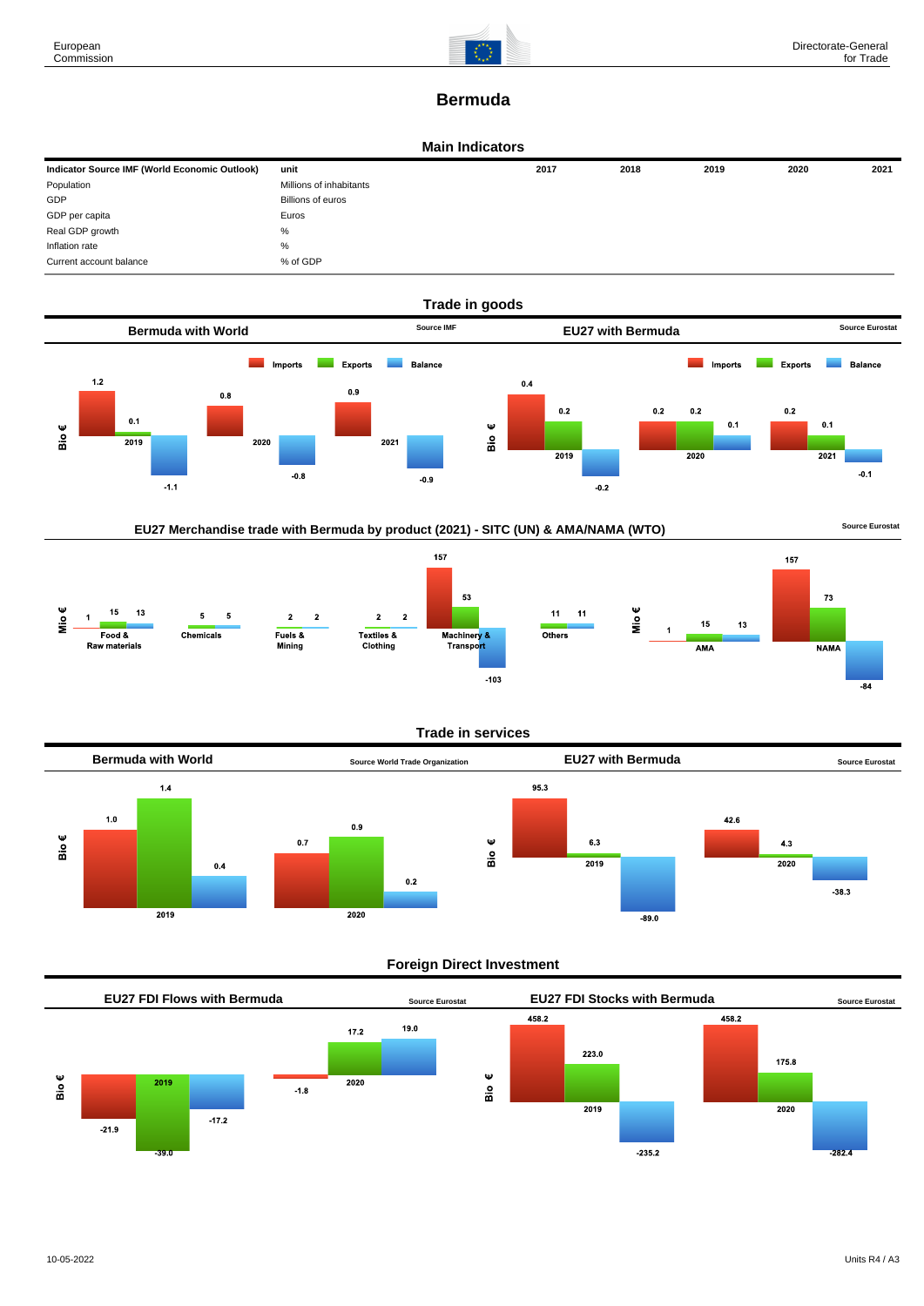

# **Bermuda**

#### **Main Indicators**

| Indicator Source IMF (World Economic Outlook) | unit                    | 2017 | 2018 | 2019 | 2020 | 2021 |
|-----------------------------------------------|-------------------------|------|------|------|------|------|
| Population                                    | Millions of inhabitants |      |      |      |      |      |
| GDP                                           | Billions of euros       |      |      |      |      |      |
| GDP per capita                                | Euros                   |      |      |      |      |      |
| Real GDP growth                               | %                       |      |      |      |      |      |
| Inflation rate                                | $\%$                    |      |      |      |      |      |
| Current account balance                       | % of GDP                |      |      |      |      |      |







**Trade in services**



## **Foreign Direct Investment**